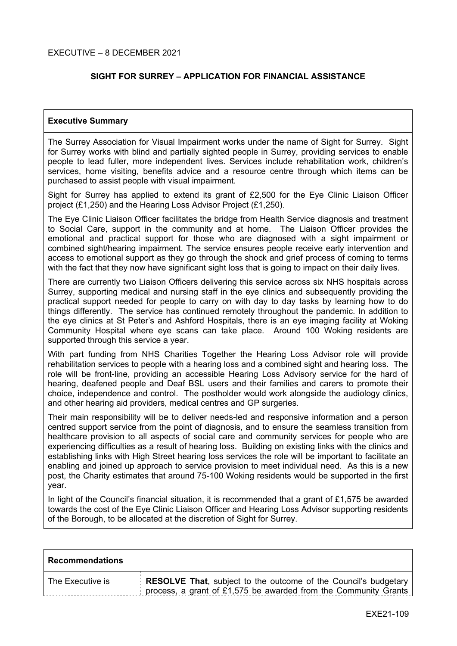# **SIGHT FOR SURREY – APPLICATION FOR FINANCIAL ASSISTANCE**

## **Executive Summary**

The Surrey Association for Visual Impairment works under the name of Sight for Surrey. Sight for Surrey works with blind and partially sighted people in Surrey, providing services to enable people to lead fuller, more independent lives. Services include rehabilitation work, children's services, home visiting, benefits advice and a resource centre through which items can be purchased to assist people with visual impairment.

Sight for Surrey has applied to extend its grant of £2,500 for the Eye Clinic Liaison Officer project (£1,250) and the Hearing Loss Advisor Project (£1,250).

The Eye Clinic Liaison Officer facilitates the bridge from Health Service diagnosis and treatment to Social Care, support in the community and at home. The Liaison Officer provides the emotional and practical support for those who are diagnosed with a sight impairment or combined sight/hearing impairment. The service ensures people receive early intervention and access to emotional support as they go through the shock and grief process of coming to terms with the fact that they now have significant sight loss that is going to impact on their daily lives.

There are currently two Liaison Officers delivering this service across six NHS hospitals across Surrey, supporting medical and nursing staff in the eye clinics and subsequently providing the practical support needed for people to carry on with day to day tasks by learning how to do things differently. The service has continued remotely throughout the pandemic. In addition to the eye clinics at St Peter's and Ashford Hospitals, there is an eye imaging facility at Woking Community Hospital where eye scans can take place. Around 100 Woking residents are supported through this service a year.

With part funding from NHS Charities Together the Hearing Loss Advisor role will provide rehabilitation services to people with a hearing loss and a combined sight and hearing loss. The role will be front-line, providing an accessible Hearing Loss Advisory service for the hard of hearing, deafened people and Deaf BSL users and their families and carers to promote their choice, independence and control. The postholder would work alongside the audiology clinics, and other hearing aid providers, medical centres and GP surgeries.

Their main responsibility will be to deliver needs-led and responsive information and a person centred support service from the point of diagnosis, and to ensure the seamless transition from healthcare provision to all aspects of social care and community services for people who are experiencing difficulties as a result of hearing loss. Building on existing links with the clinics and establishing links with High Street hearing loss services the role will be important to facilitate an enabling and joined up approach to service provision to meet individual need. As this is a new post, the Charity estimates that around 75-100 Woking residents would be supported in the first year.

In light of the Council's financial situation, it is recommended that a grant of £1,575 be awarded towards the cost of the Eye Clinic Liaison Officer and Hearing Loss Advisor supporting residents of the Borough, to be allocated at the discretion of Sight for Surrey.

| <b>Recommendations</b> |                                                                                                                                                   |
|------------------------|---------------------------------------------------------------------------------------------------------------------------------------------------|
| The Executive is       | <b>RESOLVE That, subject to the outcome of the Council's budgetary</b><br>process, a grant of £1,575 be awarded from the Community Grants $\vert$ |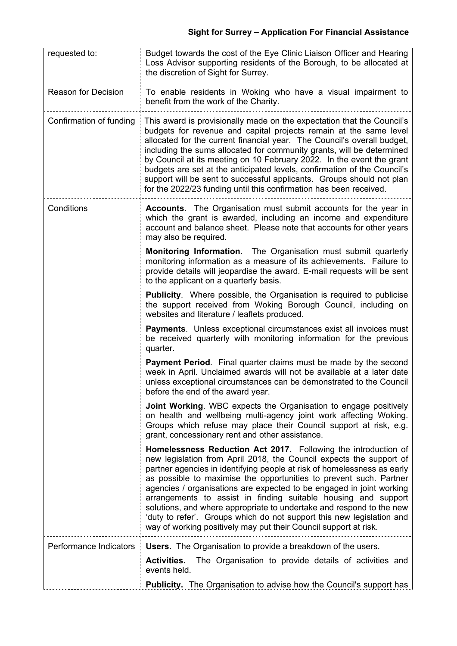| requested to:              | Budget towards the cost of the Eye Clinic Liaison Officer and Hearing<br>Loss Advisor supporting residents of the Borough, to be allocated at<br>the discretion of Sight for Surrey.                                                                                                                                                                                                                                                                                                                                                                                                                                                                  |  |
|----------------------------|-------------------------------------------------------------------------------------------------------------------------------------------------------------------------------------------------------------------------------------------------------------------------------------------------------------------------------------------------------------------------------------------------------------------------------------------------------------------------------------------------------------------------------------------------------------------------------------------------------------------------------------------------------|--|
| <b>Reason for Decision</b> | To enable residents in Woking who have a visual impairment to<br>benefit from the work of the Charity.                                                                                                                                                                                                                                                                                                                                                                                                                                                                                                                                                |  |
| Confirmation of funding    | This award is provisionally made on the expectation that the Council's<br>budgets for revenue and capital projects remain at the same level<br>allocated for the current financial year. The Council's overall budget,<br>including the sums allocated for community grants, will be determined<br>by Council at its meeting on 10 February 2022. In the event the grant<br>budgets are set at the anticipated levels, confirmation of the Council's<br>support will be sent to successful applicants. Groups should not plan<br>for the 2022/23 funding until this confirmation has been received.                                                   |  |
| Conditions                 | <b>Accounts.</b> The Organisation must submit accounts for the year in<br>which the grant is awarded, including an income and expenditure<br>account and balance sheet. Please note that accounts for other years<br>may also be required.                                                                                                                                                                                                                                                                                                                                                                                                            |  |
|                            | <b>Monitoring Information.</b> The Organisation must submit quarterly<br>monitoring information as a measure of its achievements. Failure to<br>provide details will jeopardise the award. E-mail requests will be sent<br>to the applicant on a quarterly basis.                                                                                                                                                                                                                                                                                                                                                                                     |  |
|                            | <b>Publicity.</b> Where possible, the Organisation is required to publicise<br>the support received from Woking Borough Council, including on<br>websites and literature / leaflets produced.                                                                                                                                                                                                                                                                                                                                                                                                                                                         |  |
|                            | <b>Payments.</b> Unless exceptional circumstances exist all invoices must<br>be received quarterly with monitoring information for the previous<br>quarter.                                                                                                                                                                                                                                                                                                                                                                                                                                                                                           |  |
|                            | <b>Payment Period.</b> Final quarter claims must be made by the second<br>week in April. Unclaimed awards will not be available at a later date<br>unless exceptional circumstances can be demonstrated to the Council<br>before the end of the award year.                                                                                                                                                                                                                                                                                                                                                                                           |  |
|                            | <b>Joint Working.</b> WBC expects the Organisation to engage positively<br>on health and wellbeing multi-agency joint work affecting Woking.<br>Groups which refuse may place their Council support at risk, e.g.<br>grant, concessionary rent and other assistance.                                                                                                                                                                                                                                                                                                                                                                                  |  |
|                            | Homelessness Reduction Act 2017. Following the introduction of<br>new legislation from April 2018, the Council expects the support of<br>partner agencies in identifying people at risk of homelessness as early<br>as possible to maximise the opportunities to prevent such. Partner<br>agencies / organisations are expected to be engaged in joint working<br>arrangements to assist in finding suitable housing and support<br>solutions, and where appropriate to undertake and respond to the new<br>'duty to refer'. Groups which do not support this new legislation and<br>way of working positively may put their Council support at risk. |  |
| Performance Indicators     | <b>Users.</b> The Organisation to provide a breakdown of the users.                                                                                                                                                                                                                                                                                                                                                                                                                                                                                                                                                                                   |  |
|                            | The Organisation to provide details of activities and<br><b>Activities.</b><br>events held.                                                                                                                                                                                                                                                                                                                                                                                                                                                                                                                                                           |  |
|                            | <b>Publicity.</b> The Organisation to advise how the Council's support has                                                                                                                                                                                                                                                                                                                                                                                                                                                                                                                                                                            |  |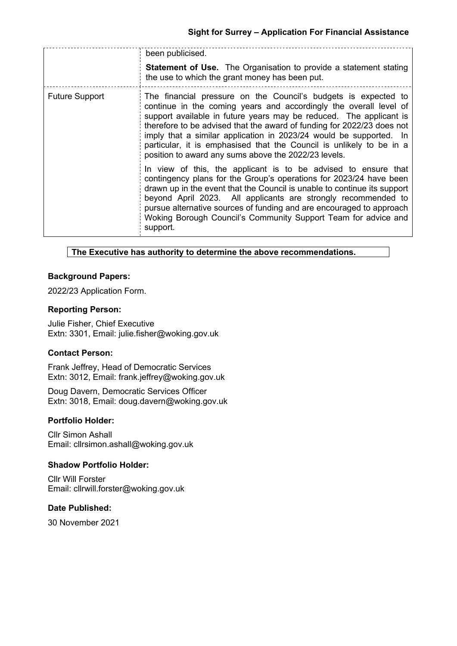|                       | been publicised.                                                                                                                                                                                                                                                                                                                                                                                                                                                                          |
|-----------------------|-------------------------------------------------------------------------------------------------------------------------------------------------------------------------------------------------------------------------------------------------------------------------------------------------------------------------------------------------------------------------------------------------------------------------------------------------------------------------------------------|
|                       | <b>Statement of Use.</b> The Organisation to provide a statement stating<br>the use to which the grant money has been put.                                                                                                                                                                                                                                                                                                                                                                |
| <b>Future Support</b> | The financial pressure on the Council's budgets is expected to<br>continue in the coming years and accordingly the overall level of<br>support available in future years may be reduced. The applicant is<br>therefore to be advised that the award of funding for 2022/23 does not<br>imply that a similar application in 2023/24 would be supported. In<br>particular, it is emphasised that the Council is unlikely to be in a<br>position to award any sums above the 2022/23 levels. |
|                       | In view of this, the applicant is to be advised to ensure that<br>contingency plans for the Group's operations for 2023/24 have been<br>drawn up in the event that the Council is unable to continue its support<br>beyond April 2023. All applicants are strongly recommended to<br>pursue alternative sources of funding and are encouraged to approach<br>Woking Borough Council's Community Support Team for advice and<br>support.                                                   |

## **The Executive has authority to determine the above recommendations.**

## **Background Papers:**

2022/23 Application Form.

### **Reporting Person:**

Julie Fisher, Chief Executive Extn: 3301, Email: julie.fisher@woking.gov.uk

### **Contact Person:**

Frank Jeffrey, Head of Democratic Services Extn: 3012, Email: frank.jeffrey@woking.gov.uk

Doug Davern, Democratic Services Officer Extn: 3018, Email: doug.davern@woking.gov.uk

### **Portfolio Holder:**

Cllr Simon Ashall Email: cllrsimon.ashall@woking.gov.uk

### **Shadow Portfolio Holder:**

Cllr Will Forster Email: cllrwill.forster@woking.gov.uk

## **Date Published:**

30 November 2021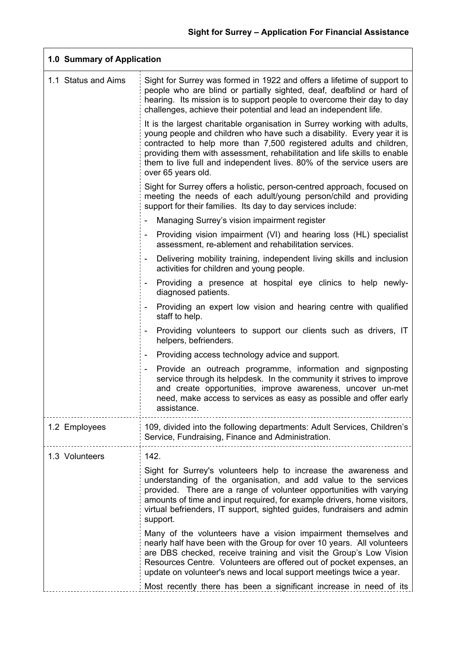| 1.0 Summary of Application |                                                                                                                                                                                                                                                                                                                                                                                                     |  |
|----------------------------|-----------------------------------------------------------------------------------------------------------------------------------------------------------------------------------------------------------------------------------------------------------------------------------------------------------------------------------------------------------------------------------------------------|--|
| 1.1 Status and Aims        | Sight for Surrey was formed in 1922 and offers a lifetime of support to<br>people who are blind or partially sighted, deaf, deafblind or hard of<br>hearing. Its mission is to support people to overcome their day to day<br>challenges, achieve their potential and lead an independent life.                                                                                                     |  |
|                            | It is the largest charitable organisation in Surrey working with adults,<br>young people and children who have such a disability. Every year it is<br>contracted to help more than 7,500 registered adults and children,<br>providing them with assessment, rehabilitation and life skills to enable<br>them to live full and independent lives. 80% of the service users are<br>over 65 years old. |  |
|                            | Sight for Surrey offers a holistic, person-centred approach, focused on<br>meeting the needs of each adult/young person/child and providing<br>support for their families. Its day to day services include:                                                                                                                                                                                         |  |
|                            | Managing Surrey's vision impairment register                                                                                                                                                                                                                                                                                                                                                        |  |
|                            | Providing vision impairment (VI) and hearing loss (HL) specialist<br>assessment, re-ablement and rehabilitation services.                                                                                                                                                                                                                                                                           |  |
|                            | Delivering mobility training, independent living skills and inclusion<br>activities for children and young people.                                                                                                                                                                                                                                                                                  |  |
|                            | Providing a presence at hospital eye clinics to help newly-<br>diagnosed patients.                                                                                                                                                                                                                                                                                                                  |  |
|                            | Providing an expert low vision and hearing centre with qualified<br>staff to help.                                                                                                                                                                                                                                                                                                                  |  |
|                            | Providing volunteers to support our clients such as drivers, IT<br>helpers, befrienders.                                                                                                                                                                                                                                                                                                            |  |
|                            | Providing access technology advice and support.                                                                                                                                                                                                                                                                                                                                                     |  |
|                            | Provide an outreach programme, information and signposting<br>service through its helpdesk. In the community it strives to improve<br>and create opportunities, improve awareness, uncover un-met<br>need, make access to services as easy as possible and offer early<br>assistance.                                                                                                               |  |
| 1.2 Employees              | 109, divided into the following departments: Adult Services, Children's<br>Service, Fundraising, Finance and Administration.                                                                                                                                                                                                                                                                        |  |
| 1.3 Volunteers             | 142.                                                                                                                                                                                                                                                                                                                                                                                                |  |
|                            | Sight for Surrey's volunteers help to increase the awareness and<br>understanding of the organisation, and add value to the services<br>provided. There are a range of volunteer opportunities with varying<br>amounts of time and input required, for example drivers, home visitors,<br>virtual befrienders, IT support, sighted guides, fundraisers and admin<br>support.                        |  |
|                            | Many of the volunteers have a vision impairment themselves and<br>nearly half have been with the Group for over 10 years. All volunteers<br>are DBS checked, receive training and visit the Group's Low Vision<br>Resources Centre. Volunteers are offered out of pocket expenses, an<br>update on volunteer's news and local support meetings twice a year.                                        |  |
|                            | Most recently there has been a significant increase in need of its                                                                                                                                                                                                                                                                                                                                  |  |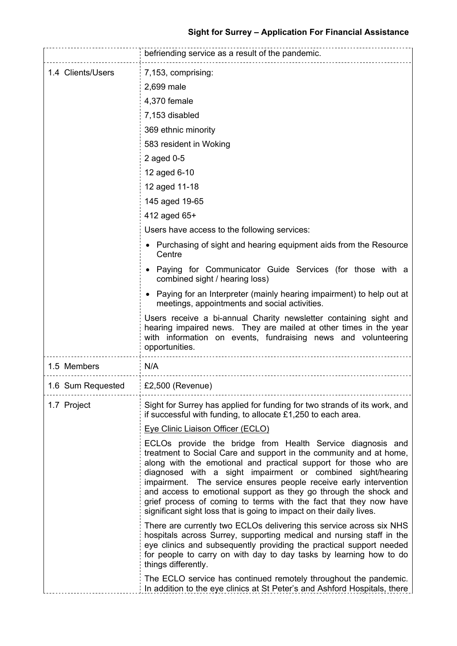|                   | befriending service as a result of the pandemic.                                                                                                                                                                                                                                                                                                                                                                                                                                                                                                                                                                                                                                                                                                                                                                                                                                                                                                                                                                                                                                                                                                                                                                        |  |
|-------------------|-------------------------------------------------------------------------------------------------------------------------------------------------------------------------------------------------------------------------------------------------------------------------------------------------------------------------------------------------------------------------------------------------------------------------------------------------------------------------------------------------------------------------------------------------------------------------------------------------------------------------------------------------------------------------------------------------------------------------------------------------------------------------------------------------------------------------------------------------------------------------------------------------------------------------------------------------------------------------------------------------------------------------------------------------------------------------------------------------------------------------------------------------------------------------------------------------------------------------|--|
| 1.4 Clients/Users | 7,153, comprising:<br>2,699 male<br>4,370 female<br>7,153 disabled<br>369 ethnic minority<br>583 resident in Woking<br>2 aged 0-5<br>12 aged 6-10<br>12 aged 11-18<br>145 aged 19-65<br>412 aged 65+<br>Users have access to the following services:<br>• Purchasing of sight and hearing equipment aids from the Resource<br>Centre<br>• Paying for Communicator Guide Services (for those with a<br>combined sight / hearing loss)<br>Paying for an Interpreter (mainly hearing impairment) to help out at<br>meetings, appointments and social activities.<br>Users receive a bi-annual Charity newsletter containing sight and<br>hearing impaired news. They are mailed at other times in the year<br>with information on events, fundraising news and volunteering                                                                                                                                                                                                                                                                                                                                                                                                                                                |  |
| 1.5 Members       | opportunities.<br>N/A                                                                                                                                                                                                                                                                                                                                                                                                                                                                                                                                                                                                                                                                                                                                                                                                                                                                                                                                                                                                                                                                                                                                                                                                   |  |
| 1.6 Sum Requested | £2,500 (Revenue)                                                                                                                                                                                                                                                                                                                                                                                                                                                                                                                                                                                                                                                                                                                                                                                                                                                                                                                                                                                                                                                                                                                                                                                                        |  |
| 1.7 Project       | Sight for Surrey has applied for funding for two strands of its work, and<br>if successful with funding, to allocate £1,250 to each area.<br><b>Eye Clinic Liaison Officer (ECLO)</b><br>ECLOs provide the bridge from Health Service diagnosis and<br>treatment to Social Care and support in the community and at home,<br>along with the emotional and practical support for those who are<br>diagnosed with a sight impairment or combined sight/hearing<br>impairment. The service ensures people receive early intervention<br>and access to emotional support as they go through the shock and<br>grief process of coming to terms with the fact that they now have<br>significant sight loss that is going to impact on their daily lives.<br>There are currently two ECLOs delivering this service across six NHS<br>hospitals across Surrey, supporting medical and nursing staff in the<br>eye clinics and subsequently providing the practical support needed<br>for people to carry on with day to day tasks by learning how to do<br>things differently.<br>The ECLO service has continued remotely throughout the pandemic.<br>In addition to the eye clinics at St Peter's and Ashford Hospitals, there |  |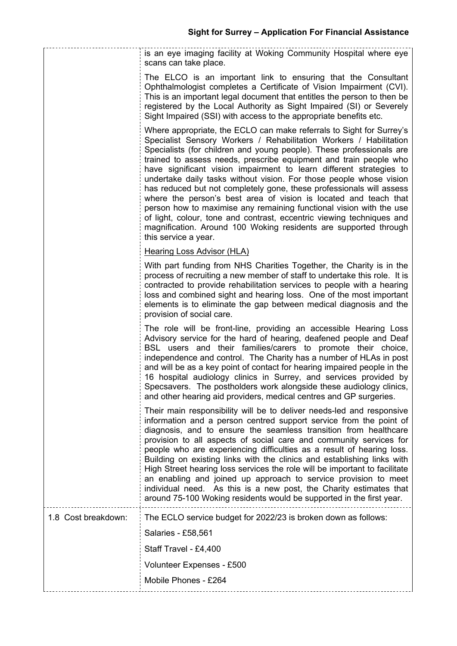|                     | is an eye imaging facility at Woking Community Hospital where eye<br>scans can take place.                                                                                                                                                                                                                                                                                                                                                                                                                                                                                                                                                                                                                                                                                                                                    |
|---------------------|-------------------------------------------------------------------------------------------------------------------------------------------------------------------------------------------------------------------------------------------------------------------------------------------------------------------------------------------------------------------------------------------------------------------------------------------------------------------------------------------------------------------------------------------------------------------------------------------------------------------------------------------------------------------------------------------------------------------------------------------------------------------------------------------------------------------------------|
|                     | The ELCO is an important link to ensuring that the Consultant<br>Ophthalmologist completes a Certificate of Vision Impairment (CVI).<br>This is an important legal document that entitles the person to then be<br>registered by the Local Authority as Sight Impaired (SI) or Severely<br>Sight Impaired (SSI) with access to the appropriate benefits etc.                                                                                                                                                                                                                                                                                                                                                                                                                                                                  |
|                     | Where appropriate, the ECLO can make referrals to Sight for Surrey's<br>Specialist Sensory Workers / Rehabilitation Workers / Habilitation<br>Specialists (for children and young people). These professionals are<br>trained to assess needs, prescribe equipment and train people who<br>have significant vision impairment to learn different strategies to<br>undertake daily tasks without vision. For those people whose vision<br>has reduced but not completely gone, these professionals will assess<br>where the person's best area of vision is located and teach that<br>person how to maximise any remaining functional vision with the use<br>of light, colour, tone and contrast, eccentric viewing techniques and<br>magnification. Around 100 Woking residents are supported through<br>this service a year. |
|                     | Hearing Loss Advisor (HLA)                                                                                                                                                                                                                                                                                                                                                                                                                                                                                                                                                                                                                                                                                                                                                                                                    |
|                     | With part funding from NHS Charities Together, the Charity is in the<br>process of recruiting a new member of staff to undertake this role. It is<br>contracted to provide rehabilitation services to people with a hearing<br>loss and combined sight and hearing loss. One of the most important<br>elements is to eliminate the gap between medical diagnosis and the<br>provision of social care.                                                                                                                                                                                                                                                                                                                                                                                                                         |
|                     | The role will be front-line, providing an accessible Hearing Loss<br>Advisory service for the hard of hearing, deafened people and Deaf<br>BSL users and their families/carers to promote their choice,<br>independence and control. The Charity has a number of HLAs in post<br>and will be as a key point of contact for hearing impaired people in the<br>16 hospital audiology clinics in Surrey, and services provided by<br>Specsavers. The postholders work alongside these audiology clinics,<br>and other hearing aid providers, medical centres and GP surgeries.                                                                                                                                                                                                                                                   |
|                     | Their main responsibility will be to deliver needs-led and responsive<br>information and a person centred support service from the point of<br>diagnosis, and to ensure the seamless transition from healthcare<br>provision to all aspects of social care and community services for<br>people who are experiencing difficulties as a result of hearing loss.<br>Building on existing links with the clinics and establishing links with<br>High Street hearing loss services the role will be important to facilitate<br>an enabling and joined up approach to service provision to meet<br>individual need. As this is a new post, the Charity estimates that<br>around 75-100 Woking residents would be supported in the first year.                                                                                      |
| 1.8 Cost breakdown: | The ECLO service budget for 2022/23 is broken down as follows:                                                                                                                                                                                                                                                                                                                                                                                                                                                                                                                                                                                                                                                                                                                                                                |
|                     | Salaries - £58,561                                                                                                                                                                                                                                                                                                                                                                                                                                                                                                                                                                                                                                                                                                                                                                                                            |
|                     | Staff Travel - £4,400                                                                                                                                                                                                                                                                                                                                                                                                                                                                                                                                                                                                                                                                                                                                                                                                         |
|                     | Volunteer Expenses - £500                                                                                                                                                                                                                                                                                                                                                                                                                                                                                                                                                                                                                                                                                                                                                                                                     |
|                     | Mobile Phones - £264                                                                                                                                                                                                                                                                                                                                                                                                                                                                                                                                                                                                                                                                                                                                                                                                          |
|                     |                                                                                                                                                                                                                                                                                                                                                                                                                                                                                                                                                                                                                                                                                                                                                                                                                               |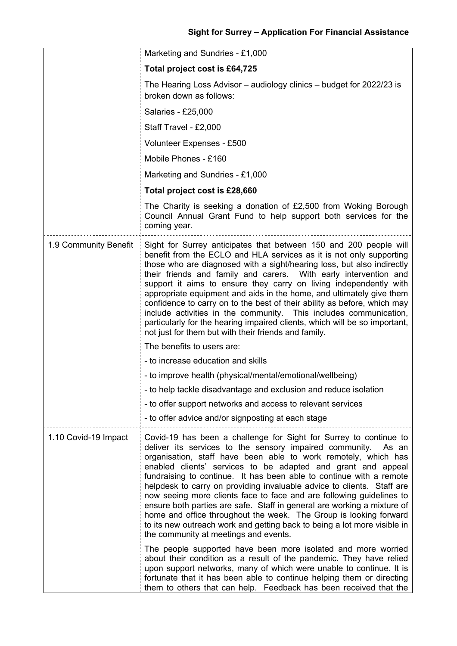|                       | Marketing and Sundries - £1,000                                                                                                                                                                                                                                                                                                                                                                                                                                                                                                                                                                                                                                                                                                                                       |
|-----------------------|-----------------------------------------------------------------------------------------------------------------------------------------------------------------------------------------------------------------------------------------------------------------------------------------------------------------------------------------------------------------------------------------------------------------------------------------------------------------------------------------------------------------------------------------------------------------------------------------------------------------------------------------------------------------------------------------------------------------------------------------------------------------------|
|                       | Total project cost is £64,725                                                                                                                                                                                                                                                                                                                                                                                                                                                                                                                                                                                                                                                                                                                                         |
|                       | The Hearing Loss Advisor - audiology clinics - budget for 2022/23 is<br>broken down as follows:                                                                                                                                                                                                                                                                                                                                                                                                                                                                                                                                                                                                                                                                       |
|                       | Salaries - £25,000                                                                                                                                                                                                                                                                                                                                                                                                                                                                                                                                                                                                                                                                                                                                                    |
|                       | Staff Travel - £2,000                                                                                                                                                                                                                                                                                                                                                                                                                                                                                                                                                                                                                                                                                                                                                 |
|                       | Volunteer Expenses - £500                                                                                                                                                                                                                                                                                                                                                                                                                                                                                                                                                                                                                                                                                                                                             |
|                       | Mobile Phones - £160                                                                                                                                                                                                                                                                                                                                                                                                                                                                                                                                                                                                                                                                                                                                                  |
|                       | Marketing and Sundries - £1,000                                                                                                                                                                                                                                                                                                                                                                                                                                                                                                                                                                                                                                                                                                                                       |
|                       | Total project cost is £28,660                                                                                                                                                                                                                                                                                                                                                                                                                                                                                                                                                                                                                                                                                                                                         |
|                       | The Charity is seeking a donation of £2,500 from Woking Borough<br>Council Annual Grant Fund to help support both services for the<br>coming year.                                                                                                                                                                                                                                                                                                                                                                                                                                                                                                                                                                                                                    |
| 1.9 Community Benefit | Sight for Surrey anticipates that between 150 and 200 people will<br>benefit from the ECLO and HLA services as it is not only supporting<br>those who are diagnosed with a sight/hearing loss, but also indirectly<br>their friends and family and carers. With early intervention and<br>support it aims to ensure they carry on living independently with<br>appropriate equipment and aids in the home, and ultimately give them<br>confidence to carry on to the best of their ability as before, which may<br>include activities in the community. This includes communication,<br>particularly for the hearing impaired clients, which will be so important,<br>not just for them but with their friends and family.                                            |
|                       | The benefits to users are:                                                                                                                                                                                                                                                                                                                                                                                                                                                                                                                                                                                                                                                                                                                                            |
|                       | - to increase education and skills                                                                                                                                                                                                                                                                                                                                                                                                                                                                                                                                                                                                                                                                                                                                    |
|                       | - to improve health (physical/mental/emotional/wellbeing)                                                                                                                                                                                                                                                                                                                                                                                                                                                                                                                                                                                                                                                                                                             |
|                       | - to help tackle disadvantage and exclusion and reduce isolation                                                                                                                                                                                                                                                                                                                                                                                                                                                                                                                                                                                                                                                                                                      |
|                       | - to offer support networks and access to relevant services                                                                                                                                                                                                                                                                                                                                                                                                                                                                                                                                                                                                                                                                                                           |
|                       | - to offer advice and/or signposting at each stage                                                                                                                                                                                                                                                                                                                                                                                                                                                                                                                                                                                                                                                                                                                    |
| 1.10 Covid-19 Impact  | Covid-19 has been a challenge for Sight for Surrey to continue to<br>deliver its services to the sensory impaired community.<br>As an<br>organisation, staff have been able to work remotely, which has<br>enabled clients' services to be adapted and grant and appeal<br>fundraising to continue. It has been able to continue with a remote<br>helpdesk to carry on providing invaluable advice to clients. Staff are<br>now seeing more clients face to face and are following guidelines to<br>ensure both parties are safe. Staff in general are working a mixture of<br>home and office throughout the week. The Group is looking forward<br>to its new outreach work and getting back to being a lot more visible in<br>the community at meetings and events. |
|                       | The people supported have been more isolated and more worried<br>about their condition as a result of the pandemic. They have relied<br>upon support networks, many of which were unable to continue. It is<br>fortunate that it has been able to continue helping them or directing<br>them to others that can help. Feedback has been received that the                                                                                                                                                                                                                                                                                                                                                                                                             |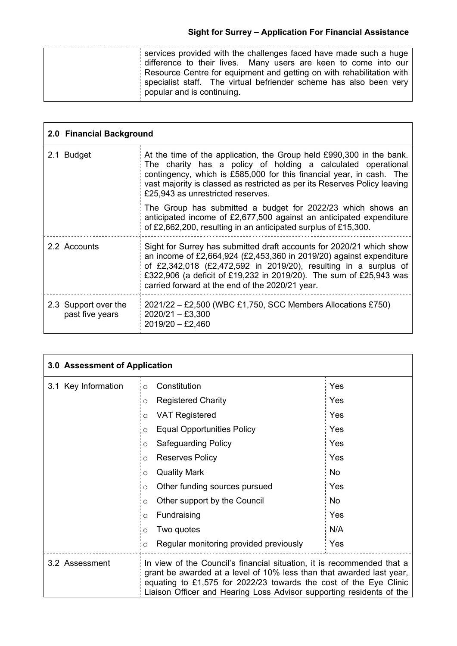| services provided with the challenges faced have made such a huge<br>difference to their lives. Many users are keen to come into our<br>Resource Centre for equipment and getting on with rehabilitation with<br>specialist staff. The virtual befriender scheme has also been very |
|-------------------------------------------------------------------------------------------------------------------------------------------------------------------------------------------------------------------------------------------------------------------------------------|
| popular and is continuing.                                                                                                                                                                                                                                                          |
|                                                                                                                                                                                                                                                                                     |

|                                         | 2.0 Financial Background                                                                                                                                                                                                                                                                                                                 |  |
|-----------------------------------------|------------------------------------------------------------------------------------------------------------------------------------------------------------------------------------------------------------------------------------------------------------------------------------------------------------------------------------------|--|
| 2.1 Budget                              | At the time of the application, the Group held £990,300 in the bank.<br>The charity has a policy of holding a calculated operational<br>contingency, which is £585,000 for this financial year, in cash. The<br>vast majority is classed as restricted as per its Reserves Policy leaving<br>£25,943 as unrestricted reserves.           |  |
|                                         | The Group has submitted a budget for 2022/23 which shows an<br>anticipated income of £2,677,500 against an anticipated expenditure<br>of £2,662,200, resulting in an anticipated surplus of £15,300.                                                                                                                                     |  |
| 2.2 Accounts                            | Sight for Surrey has submitted draft accounts for 2020/21 which show<br>an income of £2,664,924 (£2,453,360 in 2019/20) against expenditure<br>of £2,342,018 (£2,472,592 in 2019/20), resulting in a surplus of<br>£322,906 (a deficit of £19,232 in 2019/20). The sum of £25,943 was<br>carried forward at the end of the 2020/21 year. |  |
| 2.3 Support over the<br>past five years | 2021/22 – £2,500 (WBC £1,750, SCC Members Allocations £750)<br>$2020/21 - £3,300$<br>$2019/20 - £2,460$                                                                                                                                                                                                                                  |  |

| 3.0 Assessment of Application |                                                                                                                                                                                                                                                                                             |           |
|-------------------------------|---------------------------------------------------------------------------------------------------------------------------------------------------------------------------------------------------------------------------------------------------------------------------------------------|-----------|
| 3.1 Key Information           | Constitution<br>$\circ$                                                                                                                                                                                                                                                                     | Yes       |
|                               | <b>Registered Charity</b><br>O                                                                                                                                                                                                                                                              | Yes       |
|                               | <b>VAT Registered</b><br>O                                                                                                                                                                                                                                                                  | Yes       |
|                               | <b>Equal Opportunities Policy</b><br>O                                                                                                                                                                                                                                                      | Yes       |
|                               | Safeguarding Policy<br>O                                                                                                                                                                                                                                                                    | Yes       |
|                               | <b>Reserves Policy</b><br>O                                                                                                                                                                                                                                                                 | Yes       |
|                               | <b>Quality Mark</b><br>O                                                                                                                                                                                                                                                                    | <b>No</b> |
|                               | Other funding sources pursued<br>O                                                                                                                                                                                                                                                          | Yes       |
|                               | Other support by the Council<br>$\circ$                                                                                                                                                                                                                                                     | No        |
|                               | Fundraising<br>O                                                                                                                                                                                                                                                                            | Yes       |
|                               | Two quotes<br>Ω                                                                                                                                                                                                                                                                             | N/A       |
|                               | Regular monitoring provided previously<br>$\circ$                                                                                                                                                                                                                                           | Yes       |
| 3.2 Assessment                | In view of the Council's financial situation, it is recommended that a<br>grant be awarded at a level of 10% less than that awarded last year,<br>equating to £1,575 for 2022/23 towards the cost of the Eye Clinic<br>Liaison Officer and Hearing Loss Advisor supporting residents of the |           |